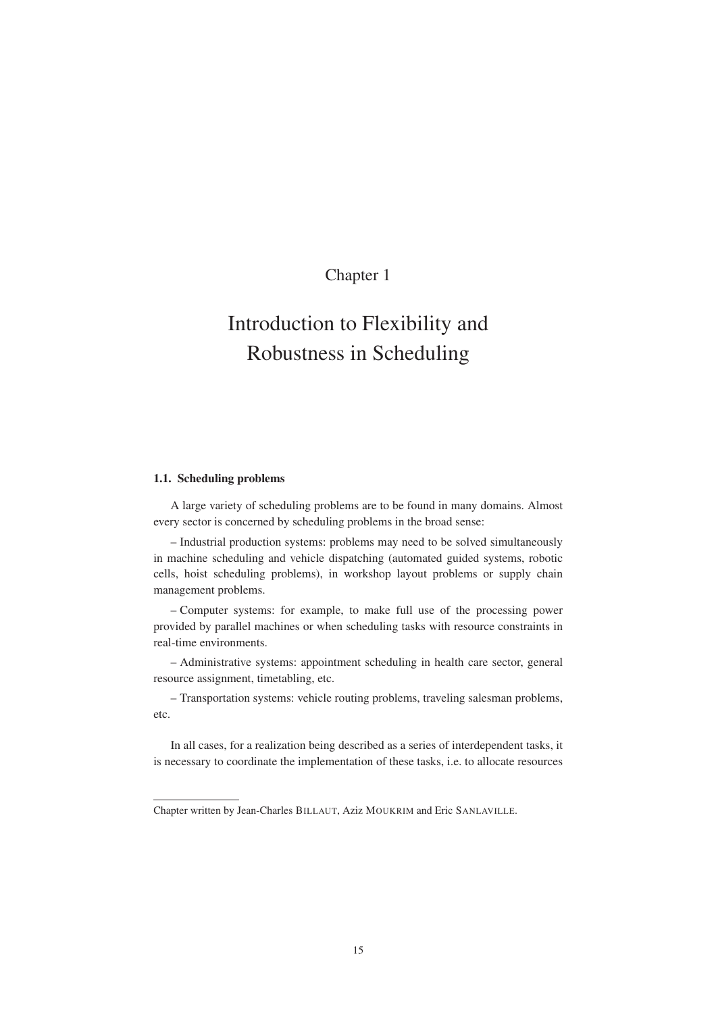# Chapter 1

# Introduction to Flexibility and Robustness in Scheduling

#### **1.1. Scheduling problems**

A large variety of scheduling problems are to be found in many domains. Almost every sector is concerned by scheduling problems in the broad sense:

– Industrial production systems: problems may need to be solved simultaneously in machine scheduling and vehicle dispatching (automated guided systems, robotic cells, hoist scheduling problems), in workshop layout problems or supply chain management problems.

– Computer systems: for example, to make full use of the processing power provided by parallel machines or when scheduling tasks with resource constraints in real-time environments.

– Administrative systems: appointment scheduling in health care sector, general resource assignment, timetabling, etc.

– Transportation systems: vehicle routing problems, traveling salesman problems, etc.

In all cases, for a realization being described as a series of interdependent tasks, it is necessary to coordinate the implementation of these tasks, i.e. to allocate resources

Chapter written by Jean-Charles BILLAUT, Aziz MOUKRIM and Eric SANLAVILLE.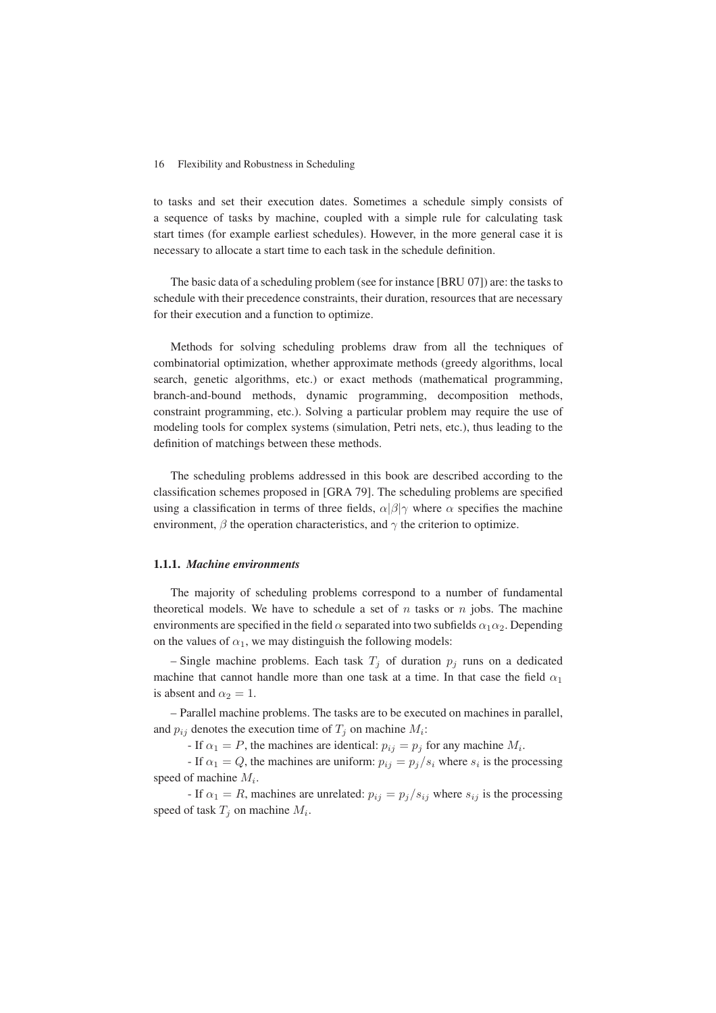to tasks and set their execution dates. Sometimes a schedule simply consists of a sequence of tasks by machine, coupled with a simple rule for calculating task start times (for example earliest schedules). However, in the more general case it is necessary to allocate a start time to each task in the schedule definition.

The basic data of a scheduling problem (see for instance [BRU 07]) are: the tasks to schedule with their precedence constraints, their duration, resources that are necessary for their execution and a function to optimize.

Methods for solving scheduling problems draw from all the techniques of combinatorial optimization, whether approximate methods (greedy algorithms, local search, genetic algorithms, etc.) or exact methods (mathematical programming, branch-and-bound methods, dynamic programming, decomposition methods, constraint programming, etc.). Solving a particular problem may require the use of modeling tools for complex systems (simulation, Petri nets, etc.), thus leading to the definition of matchings between these methods.

The scheduling problems addressed in this book are described according to the classification schemes proposed in [GRA 79]. The scheduling problems are specified using a classification in terms of three fields,  $\alpha|\beta|\gamma$  where  $\alpha$  specifies the machine environment,  $\beta$  the operation characteristics, and  $\gamma$  the criterion to optimize.

#### **1.1.1.** *Machine environments*

The majority of scheduling problems correspond to a number of fundamental theoretical models. We have to schedule a set of n tasks or  $n$  jobs. The machine environments are specified in the field  $\alpha$  separated into two subfields  $\alpha_1 \alpha_2$ . Depending on the values of  $\alpha_1$ , we may distinguish the following models:

– Single machine problems. Each task  $T_i$  of duration  $p_i$  runs on a dedicated machine that cannot handle more than one task at a time. In that case the field  $\alpha_1$ is absent and  $\alpha_2 = 1$ .

– Parallel machine problems. The tasks are to be executed on machines in parallel, and  $p_{ij}$  denotes the execution time of  $T_j$  on machine  $M_i$ :

- If  $\alpha_1 = P$ , the machines are identical:  $p_{ij} = p_j$  for any machine  $M_i$ .

- If  $\alpha_1 = Q$ , the machines are uniform:  $p_{ij} = p_j/s_i$  where  $s_i$  is the processing speed of machine  $M_i$ .

- If  $\alpha_1 = R$ , machines are unrelated:  $p_{ij} = p_j/s_{ij}$  where  $s_{ij}$  is the processing speed of task  $T_i$  on machine  $M_i$ .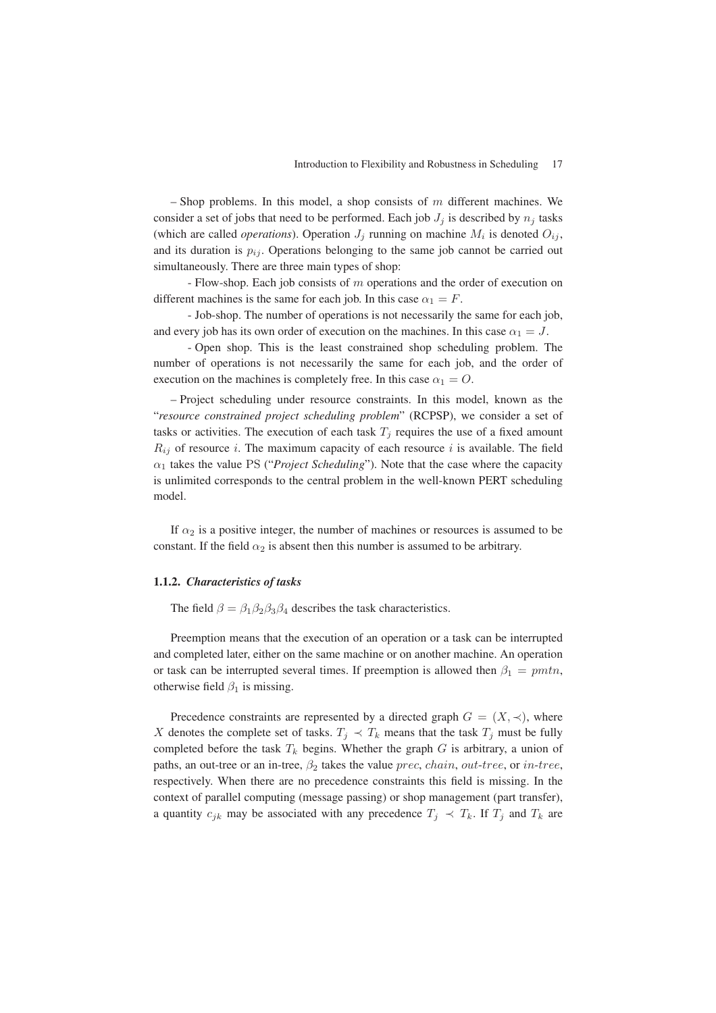– Shop problems. In this model, a shop consists of  $m$  different machines. We consider a set of jobs that need to be performed. Each job  $J_i$  is described by  $n_i$  tasks (which are called *operations*). Operation  $J_j$  running on machine  $M_i$  is denoted  $O_{ij}$ , and its duration is  $p_{ij}$ . Operations belonging to the same job cannot be carried out simultaneously. There are three main types of shop:

- Flow-shop. Each job consists of  $m$  operations and the order of execution on different machines is the same for each job. In this case  $\alpha_1 = F$ .

- Job-shop. The number of operations is not necessarily the same for each job, and every job has its own order of execution on the machines. In this case  $\alpha_1 = J$ .

- Open shop. This is the least constrained shop scheduling problem. The number of operations is not necessarily the same for each job, and the order of execution on the machines is completely free. In this case  $\alpha_1 = O$ .

– Project scheduling under resource constraints. In this model, known as the "*resource constrained project scheduling problem*" (RCPSP), we consider a set of tasks or activities. The execution of each task  $T_j$  requires the use of a fixed amount  $R_{ij}$  of resource i. The maximum capacity of each resource i is available. The field  $\alpha_1$  takes the value PS ("*Project Scheduling*"). Note that the case where the capacity is unlimited corresponds to the central problem in the well-known PERT scheduling model.

If  $\alpha_2$  is a positive integer, the number of machines or resources is assumed to be constant. If the field  $\alpha_2$  is absent then this number is assumed to be arbitrary.

#### **1.1.2.** *Characteristics of tasks*

The field  $\beta = \beta_1 \beta_2 \beta_3 \beta_4$  describes the task characteristics.

Preemption means that the execution of an operation or a task can be interrupted and completed later, either on the same machine or on another machine. An operation or task can be interrupted several times. If preemption is allowed then  $\beta_1 = pmtn$ , otherwise field  $\beta_1$  is missing.

Precedence constraints are represented by a directed graph  $G = (X, \prec)$ , where X denotes the complete set of tasks.  $T_i \prec T_k$  means that the task  $T_i$  must be fully completed before the task  $T_k$  begins. Whether the graph  $G$  is arbitrary, a union of paths, an out-tree or an in-tree,  $\beta_2$  takes the value *prec, chain, out-tree,* or *in-tree,* respectively. When there are no precedence constraints this field is missing. In the context of parallel computing (message passing) or shop management (part transfer), a quantity  $c_{jk}$  may be associated with any precedence  $T_j \prec T_k$ . If  $T_j$  and  $T_k$  are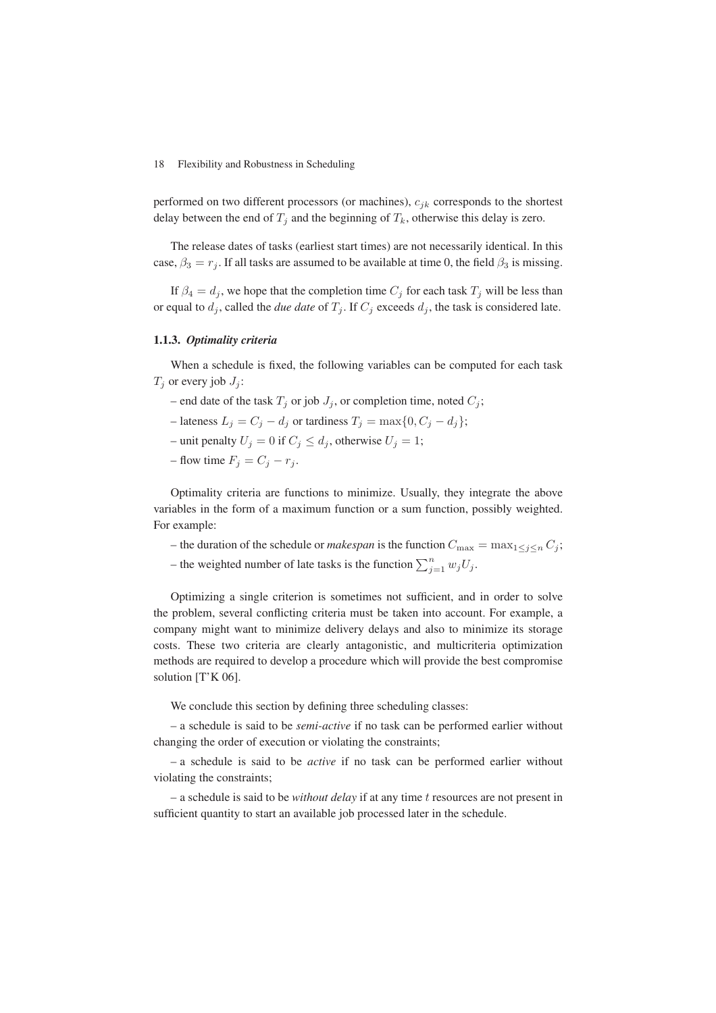performed on two different processors (or machines),  $c_{jk}$  corresponds to the shortest delay between the end of  $T_i$  and the beginning of  $T_k$ , otherwise this delay is zero.

The release dates of tasks (earliest start times) are not necessarily identical. In this case,  $\beta_3 = r_j$ . If all tasks are assumed to be available at time 0, the field  $\beta_3$  is missing.

If  $\beta_4 = d_j$ , we hope that the completion time  $C_j$  for each task  $T_j$  will be less than or equal to  $d_j$ , called the *due date* of  $T_j$ . If  $C_j$  exceeds  $d_j$ , the task is considered late.

#### **1.1.3.** *Optimality criteria*

When a schedule is fixed, the following variables can be computed for each task  $T_i$  or every job  $J_i$ :

- end date of the task  $T_j$  or job  $J_j$ , or completion time, noted  $C_j$ ;
- lateness  $L_j = C_j d_j$  or tardiness  $T_j = \max\{0, C_j d_j\};$
- unit penalty  $U_j = 0$  if  $C_j \leq d_j$ , otherwise  $U_j = 1$ ;
- flow time  $F_j = C_j r_j$ .

Optimality criteria are functions to minimize. Usually, they integrate the above variables in the form of a maximum function or a sum function, possibly weighted. For example:

– the duration of the schedule or *makespan* is the function  $C_{\text{max}} = \max_{1 \leq j \leq n} C_j$ ;

– the weighted number of late tasks is the function  $\sum_{j=1}^{n} w_j U_j$ .

Optimizing a single criterion is sometimes not sufficient, and in order to solve the problem, several conflicting criteria must be taken into account. For example, a company might want to minimize delivery delays and also to minimize its storage costs. These two criteria are clearly antagonistic, and multicriteria optimization methods are required to develop a procedure which will provide the best compromise solution [T'K 06].

We conclude this section by defining three scheduling classes:

– a schedule is said to be *semi-active* if no task can be performed earlier without changing the order of execution or violating the constraints;

– a schedule is said to be *active* if no task can be performed earlier without violating the constraints;

– a schedule is said to be *without delay* if at any time t resources are not present in sufficient quantity to start an available job processed later in the schedule.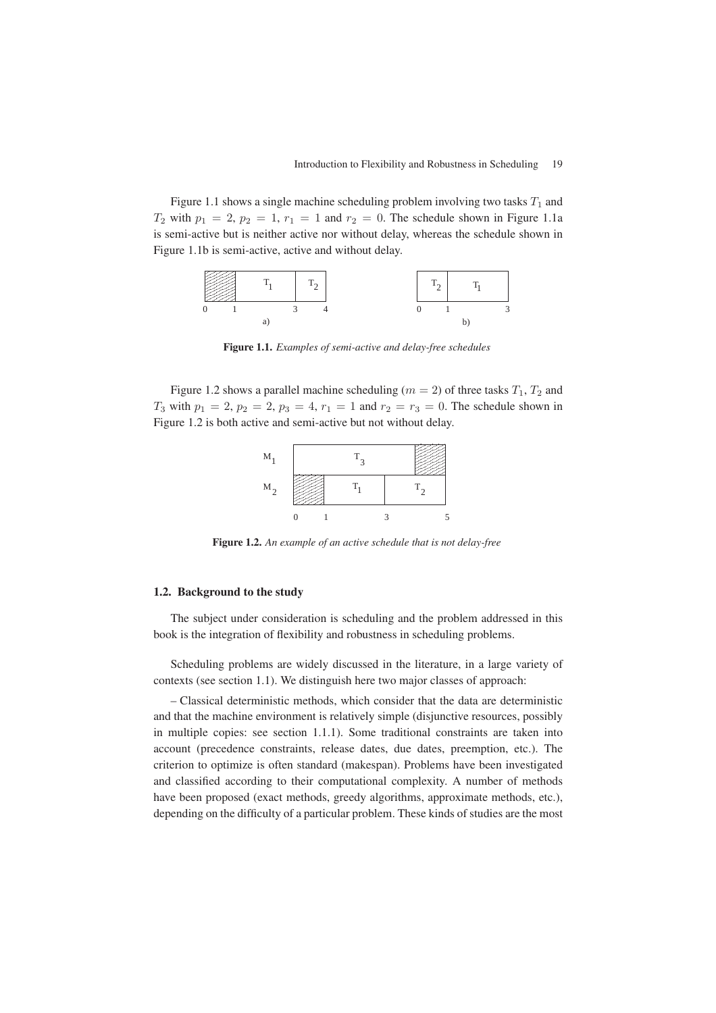Figure 1.1 shows a single machine scheduling problem involving two tasks  $T_1$  and  $T_2$  with  $p_1 = 2$ ,  $p_2 = 1$ ,  $r_1 = 1$  and  $r_2 = 0$ . The schedule shown in Figure 1.1a is semi-active but is neither active nor without delay, whereas the schedule shown in Figure 1.1b is semi-active, active and without delay.



**Figure 1.1.** *Examples of semi-active and delay-free schedules*

Figure 1.2 shows a parallel machine scheduling ( $m = 2$ ) of three tasks  $T_1, T_2$  and  $T_3$  with  $p_1 = 2$ ,  $p_2 = 2$ ,  $p_3 = 4$ ,  $r_1 = 1$  and  $r_2 = r_3 = 0$ . The schedule shown in Figure 1.2 is both active and semi-active but not without delay.



**Figure 1.2.** *An example of an active schedule that is not delay-free*

#### **1.2. Background to the study**

The subject under consideration is scheduling and the problem addressed in this book is the integration of flexibility and robustness in scheduling problems.

Scheduling problems are widely discussed in the literature, in a large variety of contexts (see section 1.1). We distinguish here two major classes of approach:

– Classical deterministic methods, which consider that the data are deterministic and that the machine environment is relatively simple (disjunctive resources, possibly in multiple copies: see section 1.1.1). Some traditional constraints are taken into account (precedence constraints, release dates, due dates, preemption, etc.). The criterion to optimize is often standard (makespan). Problems have been investigated and classified according to their computational complexity. A number of methods have been proposed (exact methods, greedy algorithms, approximate methods, etc.), depending on the difficulty of a particular problem. These kinds of studies are the most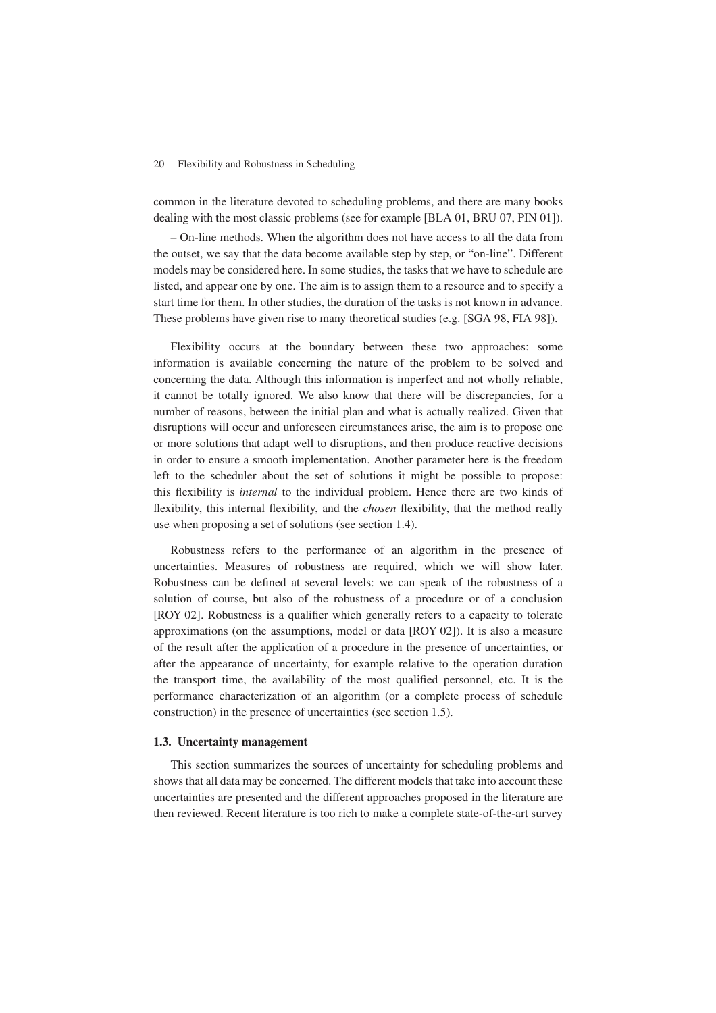common in the literature devoted to scheduling problems, and there are many books dealing with the most classic problems (see for example [BLA 01, BRU 07, PIN 01]).

– On-line methods. When the algorithm does not have access to all the data from the outset, we say that the data become available step by step, or "on-line". Different models may be considered here. In some studies, the tasks that we have to schedule are listed, and appear one by one. The aim is to assign them to a resource and to specify a start time for them. In other studies, the duration of the tasks is not known in advance. These problems have given rise to many theoretical studies (e.g. [SGA 98, FIA 98]).

Flexibility occurs at the boundary between these two approaches: some information is available concerning the nature of the problem to be solved and concerning the data. Although this information is imperfect and not wholly reliable, it cannot be totally ignored. We also know that there will be discrepancies, for a number of reasons, between the initial plan and what is actually realized. Given that disruptions will occur and unforeseen circumstances arise, the aim is to propose one or more solutions that adapt well to disruptions, and then produce reactive decisions in order to ensure a smooth implementation. Another parameter here is the freedom left to the scheduler about the set of solutions it might be possible to propose: this flexibility is *internal* to the individual problem. Hence there are two kinds of flexibility, this internal flexibility, and the *chosen* flexibility, that the method really use when proposing a set of solutions (see section 1.4).

Robustness refers to the performance of an algorithm in the presence of uncertainties. Measures of robustness are required, which we will show later. Robustness can be defined at several levels: we can speak of the robustness of a solution of course, but also of the robustness of a procedure or of a conclusion [ROY 02]. Robustness is a qualifier which generally refers to a capacity to tolerate approximations (on the assumptions, model or data [ROY 02]). It is also a measure of the result after the application of a procedure in the presence of uncertainties, or after the appearance of uncertainty, for example relative to the operation duration the transport time, the availability of the most qualified personnel, etc. It is the performance characterization of an algorithm (or a complete process of schedule construction) in the presence of uncertainties (see section 1.5).

#### **1.3. Uncertainty management**

This section summarizes the sources of uncertainty for scheduling problems and shows that all data may be concerned. The different models that take into account these uncertainties are presented and the different approaches proposed in the literature are then reviewed. Recent literature is too rich to make a complete state-of-the-art survey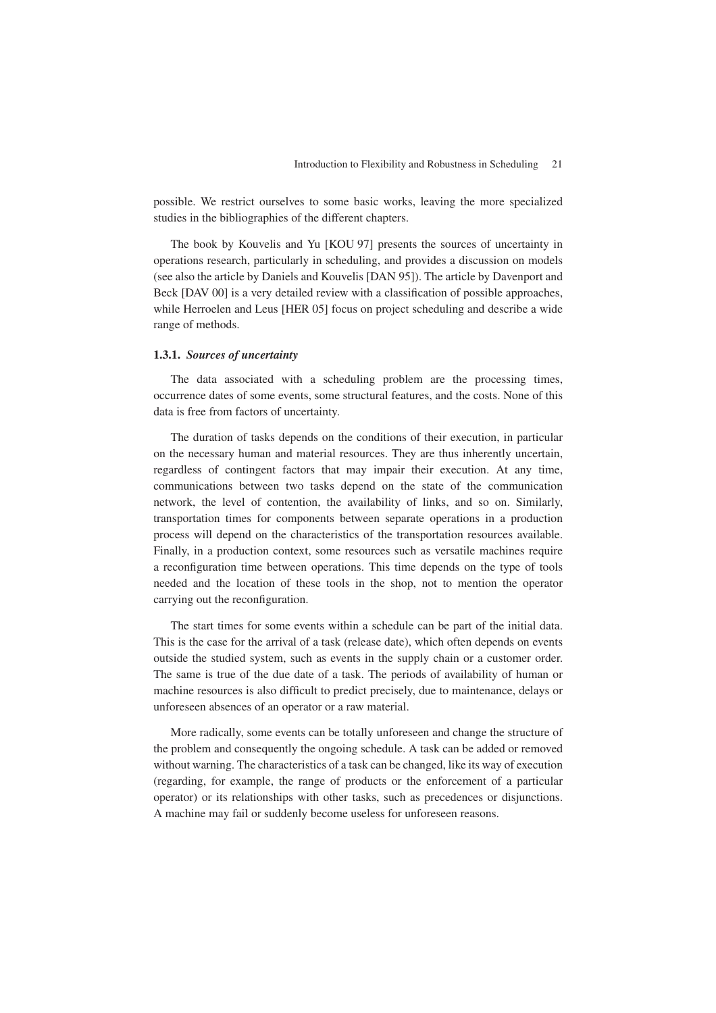possible. We restrict ourselves to some basic works, leaving the more specialized studies in the bibliographies of the different chapters.

The book by Kouvelis and Yu [KOU 97] presents the sources of uncertainty in operations research, particularly in scheduling, and provides a discussion on models (see also the article by Daniels and Kouvelis [DAN 95]). The article by Davenport and Beck [DAV 00] is a very detailed review with a classification of possible approaches, while Herroelen and Leus [HER 05] focus on project scheduling and describe a wide range of methods.

#### **1.3.1.** *Sources of uncertainty*

The data associated with a scheduling problem are the processing times, occurrence dates of some events, some structural features, and the costs. None of this data is free from factors of uncertainty.

The duration of tasks depends on the conditions of their execution, in particular on the necessary human and material resources. They are thus inherently uncertain, regardless of contingent factors that may impair their execution. At any time, communications between two tasks depend on the state of the communication network, the level of contention, the availability of links, and so on. Similarly, transportation times for components between separate operations in a production process will depend on the characteristics of the transportation resources available. Finally, in a production context, some resources such as versatile machines require a reconfiguration time between operations. This time depends on the type of tools needed and the location of these tools in the shop, not to mention the operator carrying out the reconfiguration.

The start times for some events within a schedule can be part of the initial data. This is the case for the arrival of a task (release date), which often depends on events outside the studied system, such as events in the supply chain or a customer order. The same is true of the due date of a task. The periods of availability of human or machine resources is also difficult to predict precisely, due to maintenance, delays or unforeseen absences of an operator or a raw material.

More radically, some events can be totally unforeseen and change the structure of the problem and consequently the ongoing schedule. A task can be added or removed without warning. The characteristics of a task can be changed, like its way of execution (regarding, for example, the range of products or the enforcement of a particular operator) or its relationships with other tasks, such as precedences or disjunctions. A machine may fail or suddenly become useless for unforeseen reasons.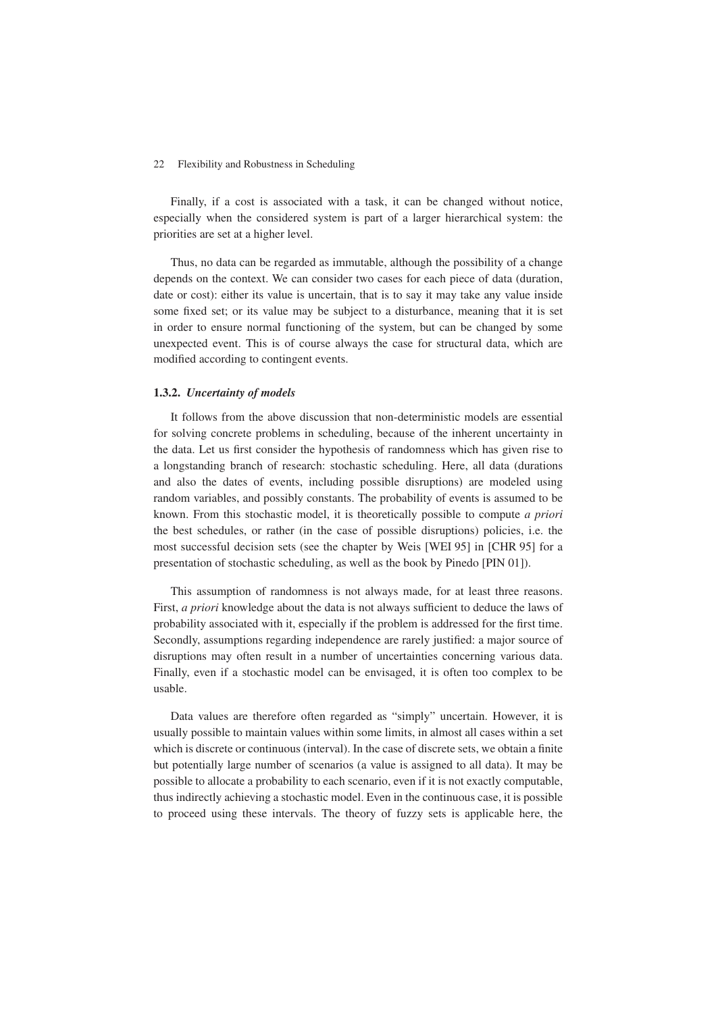Finally, if a cost is associated with a task, it can be changed without notice, especially when the considered system is part of a larger hierarchical system: the priorities are set at a higher level.

Thus, no data can be regarded as immutable, although the possibility of a change depends on the context. We can consider two cases for each piece of data (duration, date or cost): either its value is uncertain, that is to say it may take any value inside some fixed set; or its value may be subject to a disturbance, meaning that it is set in order to ensure normal functioning of the system, but can be changed by some unexpected event. This is of course always the case for structural data, which are modified according to contingent events.

## **1.3.2.** *Uncertainty of models*

It follows from the above discussion that non-deterministic models are essential for solving concrete problems in scheduling, because of the inherent uncertainty in the data. Let us first consider the hypothesis of randomness which has given rise to a longstanding branch of research: stochastic scheduling. Here, all data (durations and also the dates of events, including possible disruptions) are modeled using random variables, and possibly constants. The probability of events is assumed to be known. From this stochastic model, it is theoretically possible to compute *a priori* the best schedules, or rather (in the case of possible disruptions) policies, i.e. the most successful decision sets (see the chapter by Weis [WEI 95] in [CHR 95] for a presentation of stochastic scheduling, as well as the book by Pinedo [PIN 01]).

This assumption of randomness is not always made, for at least three reasons. First, *a priori* knowledge about the data is not always sufficient to deduce the laws of probability associated with it, especially if the problem is addressed for the first time. Secondly, assumptions regarding independence are rarely justified: a major source of disruptions may often result in a number of uncertainties concerning various data. Finally, even if a stochastic model can be envisaged, it is often too complex to be usable.

Data values are therefore often regarded as "simply" uncertain. However, it is usually possible to maintain values within some limits, in almost all cases within a set which is discrete or continuous (interval). In the case of discrete sets, we obtain a finite but potentially large number of scenarios (a value is assigned to all data). It may be possible to allocate a probability to each scenario, even if it is not exactly computable, thus indirectly achieving a stochastic model. Even in the continuous case, it is possible to proceed using these intervals. The theory of fuzzy sets is applicable here, the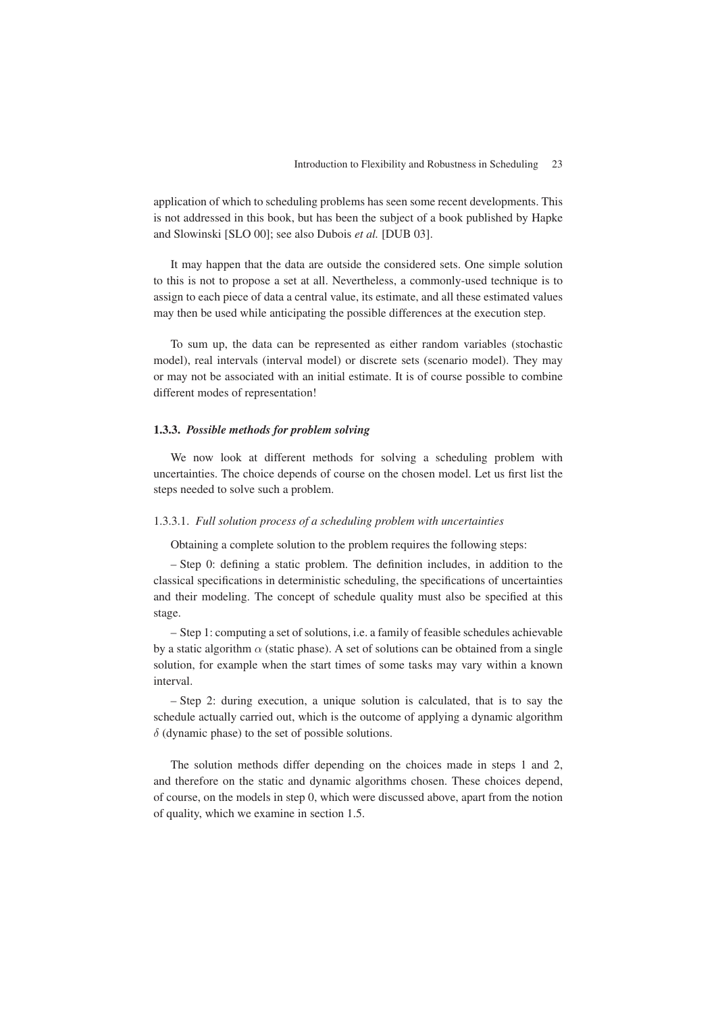application of which to scheduling problems has seen some recent developments. This is not addressed in this book, but has been the subject of a book published by Hapke and Slowinski [SLO 00]; see also Dubois *et al.* [DUB 03].

It may happen that the data are outside the considered sets. One simple solution to this is not to propose a set at all. Nevertheless, a commonly-used technique is to assign to each piece of data a central value, its estimate, and all these estimated values may then be used while anticipating the possible differences at the execution step.

To sum up, the data can be represented as either random variables (stochastic model), real intervals (interval model) or discrete sets (scenario model). They may or may not be associated with an initial estimate. It is of course possible to combine different modes of representation!

#### **1.3.3.** *Possible methods for problem solving*

We now look at different methods for solving a scheduling problem with uncertainties. The choice depends of course on the chosen model. Let us first list the steps needed to solve such a problem.

# 1.3.3.1. *Full solution process of a scheduling problem with uncertainties*

Obtaining a complete solution to the problem requires the following steps:

– Step 0: defining a static problem. The definition includes, in addition to the classical specifications in deterministic scheduling, the specifications of uncertainties and their modeling. The concept of schedule quality must also be specified at this stage.

– Step 1: computing a set of solutions, i.e. a family of feasible schedules achievable by a static algorithm  $\alpha$  (static phase). A set of solutions can be obtained from a single solution, for example when the start times of some tasks may vary within a known interval.

– Step 2: during execution, a unique solution is calculated, that is to say the schedule actually carried out, which is the outcome of applying a dynamic algorithm  $\delta$  (dynamic phase) to the set of possible solutions.

The solution methods differ depending on the choices made in steps 1 and 2, and therefore on the static and dynamic algorithms chosen. These choices depend, of course, on the models in step 0, which were discussed above, apart from the notion of quality, which we examine in section 1.5.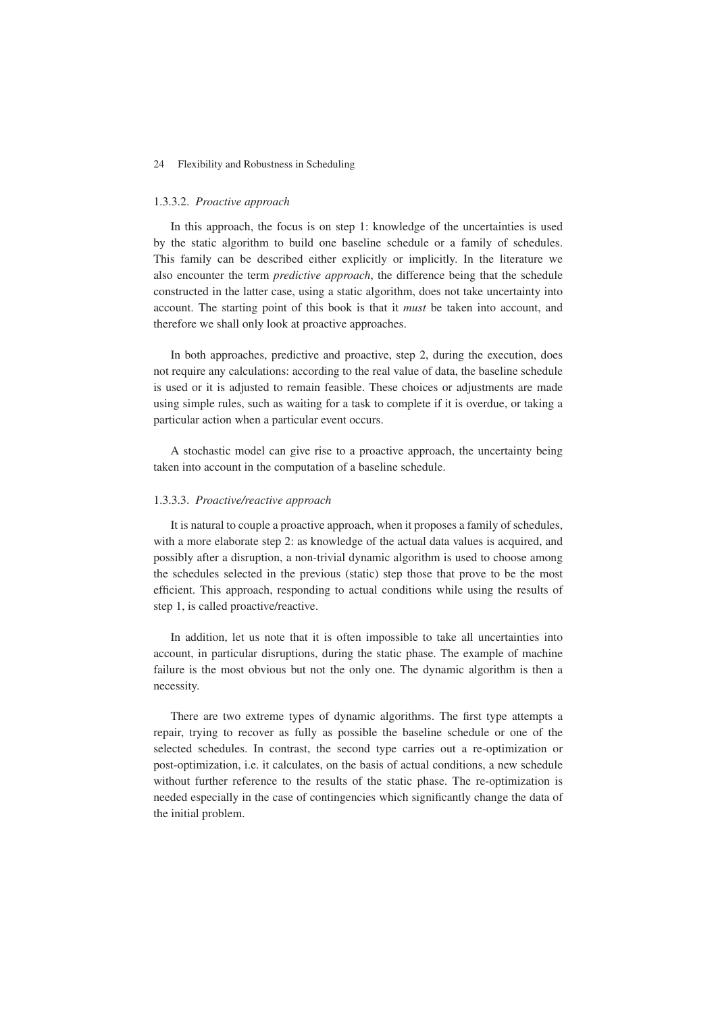#### 1.3.3.2. *Proactive approach*

In this approach, the focus is on step 1: knowledge of the uncertainties is used by the static algorithm to build one baseline schedule or a family of schedules. This family can be described either explicitly or implicitly. In the literature we also encounter the term *predictive approach*, the difference being that the schedule constructed in the latter case, using a static algorithm, does not take uncertainty into account. The starting point of this book is that it *must* be taken into account, and therefore we shall only look at proactive approaches.

In both approaches, predictive and proactive, step 2, during the execution, does not require any calculations: according to the real value of data, the baseline schedule is used or it is adjusted to remain feasible. These choices or adjustments are made using simple rules, such as waiting for a task to complete if it is overdue, or taking a particular action when a particular event occurs.

A stochastic model can give rise to a proactive approach, the uncertainty being taken into account in the computation of a baseline schedule.

#### 1.3.3.3. *Proactive/reactive approach*

It is natural to couple a proactive approach, when it proposes a family of schedules, with a more elaborate step 2: as knowledge of the actual data values is acquired, and possibly after a disruption, a non-trivial dynamic algorithm is used to choose among the schedules selected in the previous (static) step those that prove to be the most efficient. This approach, responding to actual conditions while using the results of step 1, is called proactive/reactive.

In addition, let us note that it is often impossible to take all uncertainties into account, in particular disruptions, during the static phase. The example of machine failure is the most obvious but not the only one. The dynamic algorithm is then a necessity.

There are two extreme types of dynamic algorithms. The first type attempts a repair, trying to recover as fully as possible the baseline schedule or one of the selected schedules. In contrast, the second type carries out a re-optimization or post-optimization, i.e. it calculates, on the basis of actual conditions, a new schedule without further reference to the results of the static phase. The re-optimization is needed especially in the case of contingencies which significantly change the data of the initial problem.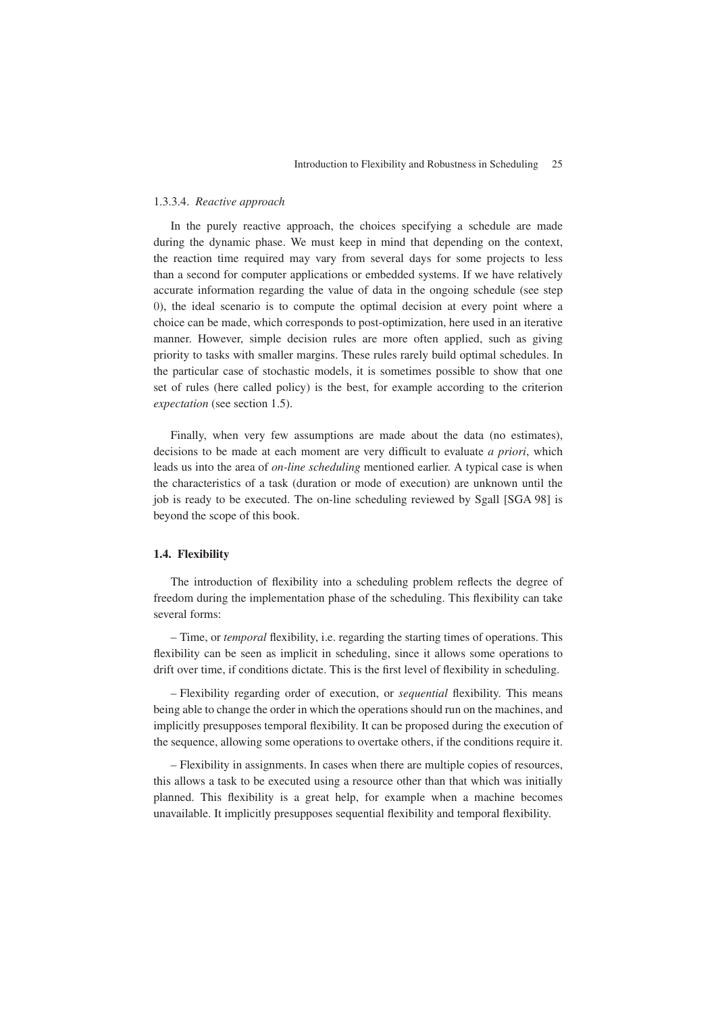#### 1.3.3.4. *Reactive approach*

In the purely reactive approach, the choices specifying a schedule are made during the dynamic phase. We must keep in mind that depending on the context, the reaction time required may vary from several days for some projects to less than a second for computer applications or embedded systems. If we have relatively accurate information regarding the value of data in the ongoing schedule (see step 0), the ideal scenario is to compute the optimal decision at every point where a choice can be made, which corresponds to post-optimization, here used in an iterative manner. However, simple decision rules are more often applied, such as giving priority to tasks with smaller margins. These rules rarely build optimal schedules. In the particular case of stochastic models, it is sometimes possible to show that one set of rules (here called policy) is the best, for example according to the criterion *expectation* (see section 1.5).

Finally, when very few assumptions are made about the data (no estimates), decisions to be made at each moment are very difficult to evaluate *a priori*, which leads us into the area of *on-line scheduling* mentioned earlier. A typical case is when the characteristics of a task (duration or mode of execution) are unknown until the job is ready to be executed. The on-line scheduling reviewed by Sgall [SGA 98] is beyond the scope of this book.

#### **1.4. Flexibility**

The introduction of flexibility into a scheduling problem reflects the degree of freedom during the implementation phase of the scheduling. This flexibility can take several forms:

– Time, or *temporal* flexibility, i.e. regarding the starting times of operations. This flexibility can be seen as implicit in scheduling, since it allows some operations to drift over time, if conditions dictate. This is the first level of flexibility in scheduling.

– Flexibility regarding order of execution, or *sequential* flexibility. This means being able to change the order in which the operations should run on the machines, and implicitly presupposes temporal flexibility. It can be proposed during the execution of the sequence, allowing some operations to overtake others, if the conditions require it.

– Flexibility in assignments. In cases when there are multiple copies of resources, this allows a task to be executed using a resource other than that which was initially planned. This flexibility is a great help, for example when a machine becomes unavailable. It implicitly presupposes sequential flexibility and temporal flexibility.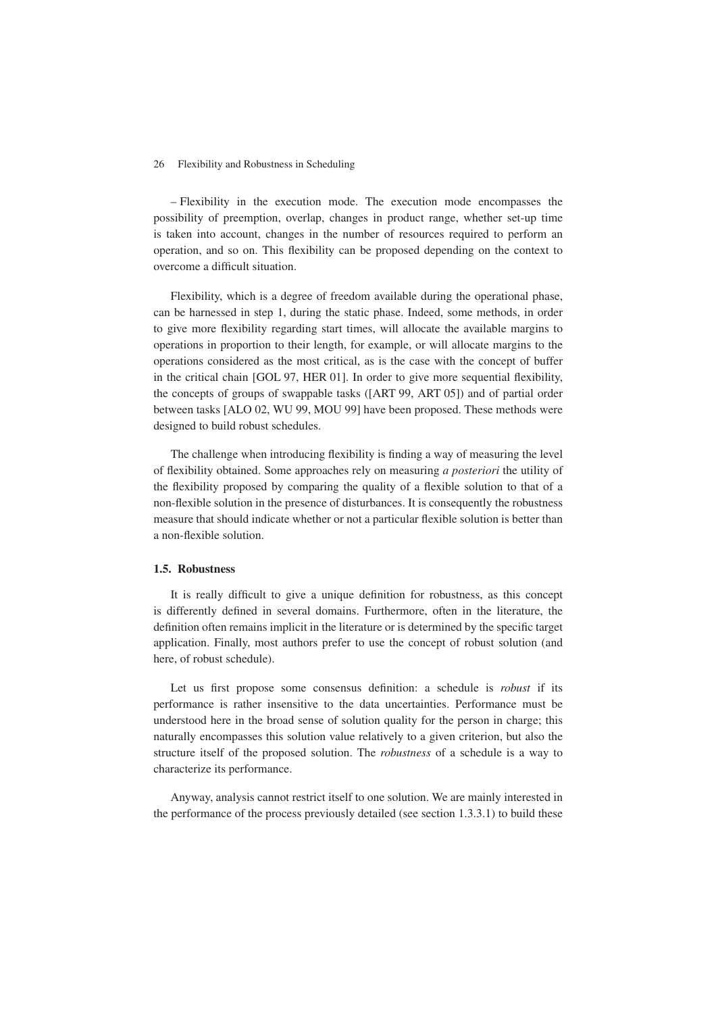– Flexibility in the execution mode. The execution mode encompasses the possibility of preemption, overlap, changes in product range, whether set-up time is taken into account, changes in the number of resources required to perform an operation, and so on. This flexibility can be proposed depending on the context to overcome a difficult situation.

Flexibility, which is a degree of freedom available during the operational phase, can be harnessed in step 1, during the static phase. Indeed, some methods, in order to give more flexibility regarding start times, will allocate the available margins to operations in proportion to their length, for example, or will allocate margins to the operations considered as the most critical, as is the case with the concept of buffer in the critical chain [GOL 97, HER 01]. In order to give more sequential flexibility, the concepts of groups of swappable tasks ([ART 99, ART 05]) and of partial order between tasks [ALO 02, WU 99, MOU 99] have been proposed. These methods were designed to build robust schedules.

The challenge when introducing flexibility is finding a way of measuring the level of flexibility obtained. Some approaches rely on measuring *a posteriori* the utility of the flexibility proposed by comparing the quality of a flexible solution to that of a non-flexible solution in the presence of disturbances. It is consequently the robustness measure that should indicate whether or not a particular flexible solution is better than a non-flexible solution.

## **1.5. Robustness**

It is really difficult to give a unique definition for robustness, as this concept is differently defined in several domains. Furthermore, often in the literature, the definition often remains implicit in the literature or is determined by the specific target application. Finally, most authors prefer to use the concept of robust solution (and here, of robust schedule).

Let us first propose some consensus definition: a schedule is *robust* if its performance is rather insensitive to the data uncertainties. Performance must be understood here in the broad sense of solution quality for the person in charge; this naturally encompasses this solution value relatively to a given criterion, but also the structure itself of the proposed solution. The *robustness* of a schedule is a way to characterize its performance.

Anyway, analysis cannot restrict itself to one solution. We are mainly interested in the performance of the process previously detailed (see section 1.3.3.1) to build these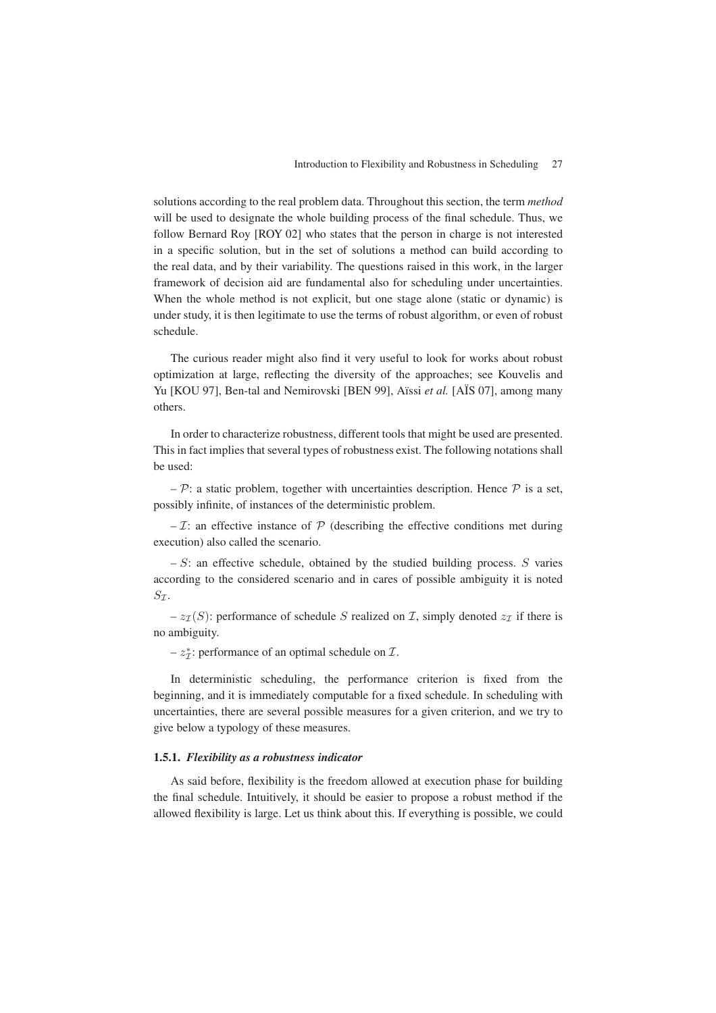solutions according to the real problem data. Throughout this section, the term *method* will be used to designate the whole building process of the final schedule. Thus, we follow Bernard Roy [ROY 02] who states that the person in charge is not interested in a specific solution, but in the set of solutions a method can build according to the real data, and by their variability. The questions raised in this work, in the larger framework of decision aid are fundamental also for scheduling under uncertainties. When the whole method is not explicit, but one stage alone (static or dynamic) is under study, it is then legitimate to use the terms of robust algorithm, or even of robust schedule.

The curious reader might also find it very useful to look for works about robust optimization at large, reflecting the diversity of the approaches; see Kouvelis and Yu [KOU 97], Ben-tal and Nemirovski [BEN 99], Aïssi *et al.* [AÏS 07], among many others.

In order to characterize robustness, different tools that might be used are presented. This in fact implies that several types of robustness exist. The following notations shall be used:

 $–\mathcal{P}$ : a static problem, together with uncertainties description. Hence  $\mathcal{P}$  is a set, possibly infinite, of instances of the deterministic problem.

 $-I$ : an effective instance of  $\mathcal P$  (describing the effective conditions met during execution) also called the scenario.

 $-S$ : an effective schedule, obtained by the studied building process. S varies according to the considered scenario and in cares of possible ambiguity it is noted  $S_{\mathcal{I}}$ .

 $-z<sub>\tau</sub>(S)$ : performance of schedule S realized on I, simply denoted  $z<sub>\tau</sub>$  if there is no ambiguity.

 $-z_{\mathcal{I}}^{*}$ : performance of an optimal schedule on  $\mathcal{I}$ .

In deterministic scheduling, the performance criterion is fixed from the beginning, and it is immediately computable for a fixed schedule. In scheduling with uncertainties, there are several possible measures for a given criterion, and we try to give below a typology of these measures.

#### **1.5.1.** *Flexibility as a robustness indicator*

As said before, flexibility is the freedom allowed at execution phase for building the final schedule. Intuitively, it should be easier to propose a robust method if the allowed flexibility is large. Let us think about this. If everything is possible, we could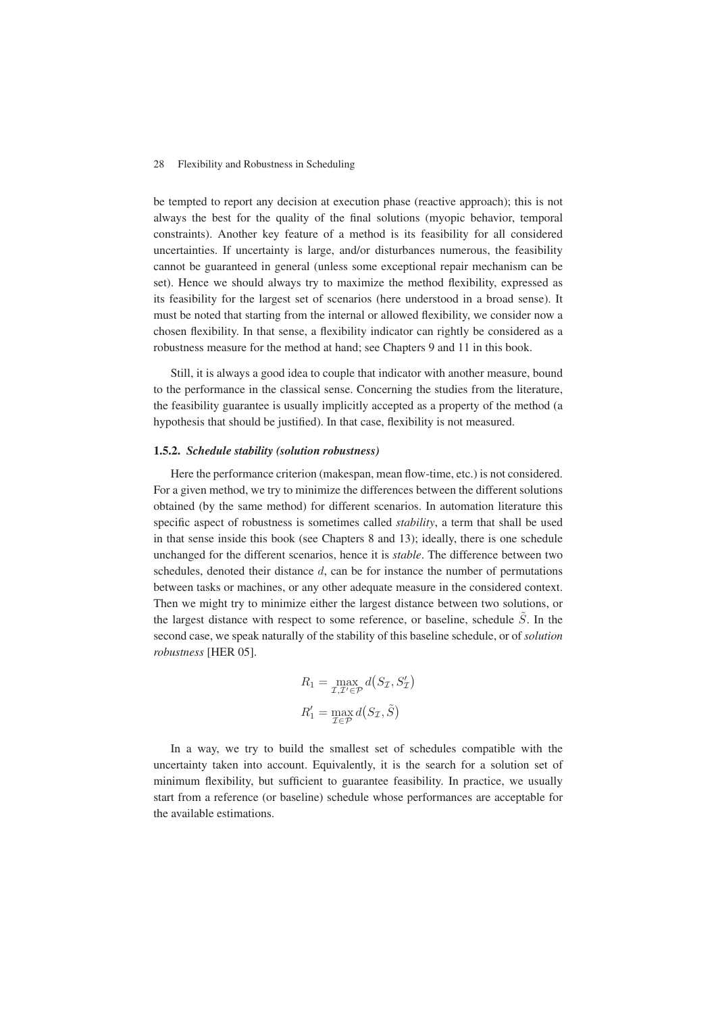be tempted to report any decision at execution phase (reactive approach); this is not always the best for the quality of the final solutions (myopic behavior, temporal constraints). Another key feature of a method is its feasibility for all considered uncertainties. If uncertainty is large, and/or disturbances numerous, the feasibility cannot be guaranteed in general (unless some exceptional repair mechanism can be set). Hence we should always try to maximize the method flexibility, expressed as its feasibility for the largest set of scenarios (here understood in a broad sense). It must be noted that starting from the internal or allowed flexibility, we consider now a chosen flexibility. In that sense, a flexibility indicator can rightly be considered as a robustness measure for the method at hand; see Chapters 9 and 11 in this book.

Still, it is always a good idea to couple that indicator with another measure, bound to the performance in the classical sense. Concerning the studies from the literature, the feasibility guarantee is usually implicitly accepted as a property of the method (a hypothesis that should be justified). In that case, flexibility is not measured.

#### **1.5.2.** *Schedule stability (solution robustness)*

Here the performance criterion (makespan, mean flow-time, etc.) is not considered. For a given method, we try to minimize the differences between the different solutions obtained (by the same method) for different scenarios. In automation literature this specific aspect of robustness is sometimes called *stability*, a term that shall be used in that sense inside this book (see Chapters 8 and 13); ideally, there is one schedule unchanged for the different scenarios, hence it is *stable*. The difference between two schedules, denoted their distance  $d$ , can be for instance the number of permutations between tasks or machines, or any other adequate measure in the considered context. Then we might try to minimize either the largest distance between two solutions, or the largest distance with respect to some reference, or baseline, schedule  $\tilde{S}$ . In the second case, we speak naturally of the stability of this baseline schedule, or of *solution robustness* [HER 05].

$$
R_1 = \max_{\mathcal{I}, \mathcal{I}' \in \mathcal{P}} d(S_{\mathcal{I}}, S_{\mathcal{I}}')
$$

$$
R_1' = \max_{\mathcal{I} \in \mathcal{P}} d(S_{\mathcal{I}}, \tilde{S})
$$

In a way, we try to build the smallest set of schedules compatible with the uncertainty taken into account. Equivalently, it is the search for a solution set of minimum flexibility, but sufficient to guarantee feasibility. In practice, we usually start from a reference (or baseline) schedule whose performances are acceptable for the available estimations.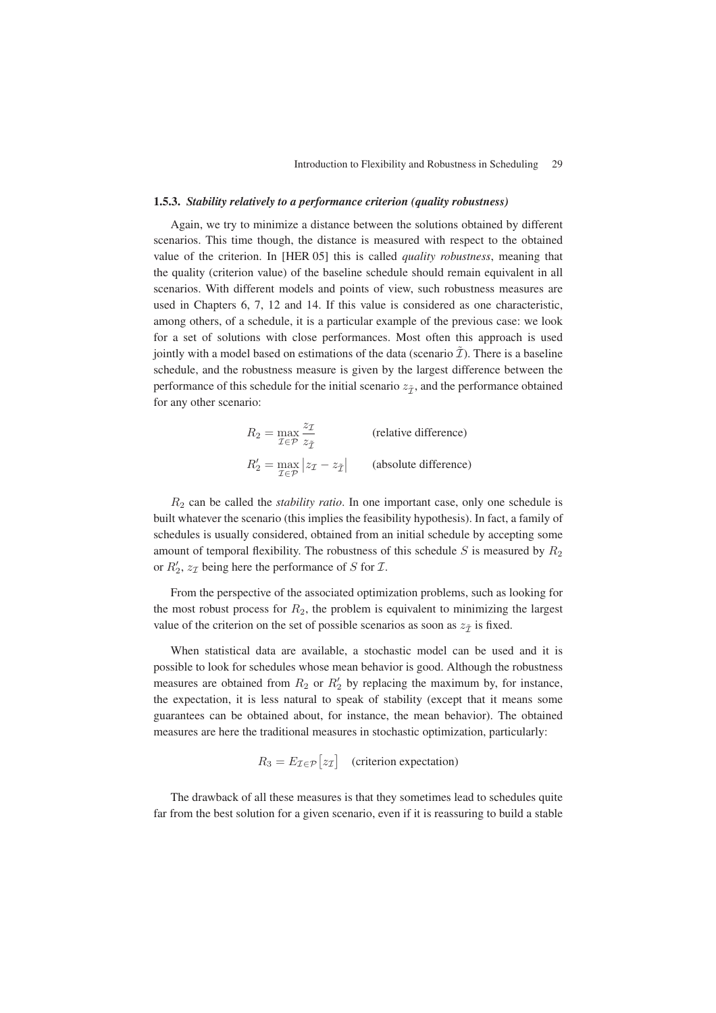#### **1.5.3.** *Stability relatively to a performance criterion (quality robustness)*

Again, we try to minimize a distance between the solutions obtained by different scenarios. This time though, the distance is measured with respect to the obtained value of the criterion. In [HER 05] this is called *quality robustness*, meaning that the quality (criterion value) of the baseline schedule should remain equivalent in all scenarios. With different models and points of view, such robustness measures are used in Chapters 6, 7, 12 and 14. If this value is considered as one characteristic, among others, of a schedule, it is a particular example of the previous case: we look for a set of solutions with close performances. Most often this approach is used jointly with a model based on estimations of the data (scenario  $\mathcal{I}$ ). There is a baseline schedule, and the robustness measure is given by the largest difference between the performance of this schedule for the initial scenario  $z_{\tilde{T}}$ , and the performance obtained for any other scenario:

> $R_2 = \max_{\mathcal{I} \in \mathcal{P}}$  $z_{\mathcal{I}}$  $\frac{z_1}{z_{\tilde{\mathcal{I}}}}$  (relative difference)  $R'_2 = \max_{\mathcal{I} \in \mathcal{P}} |z_{\mathcal{I}} - z_{\tilde{\mathcal{I}}}|$  (absolute difference)

R<sup>2</sup> can be called the *stability ratio*. In one important case, only one schedule is built whatever the scenario (this implies the feasibility hypothesis). In fact, a family of schedules is usually considered, obtained from an initial schedule by accepting some amount of temporal flexibility. The robustness of this schedule  $S$  is measured by  $R_2$ or  $R'_2$ ,  $z_{\mathcal{I}}$  being here the performance of S for  $\mathcal{I}$ .

From the perspective of the associated optimization problems, such as looking for the most robust process for  $R_2$ , the problem is equivalent to minimizing the largest value of the criterion on the set of possible scenarios as soon as  $z_{\tilde{\tau}}$  is fixed.

When statistical data are available, a stochastic model can be used and it is possible to look for schedules whose mean behavior is good. Although the robustness measures are obtained from  $R_2$  or  $R'_2$  by replacing the maximum by, for instance, the expectation, it is less natural to speak of stability (except that it means some guarantees can be obtained about, for instance, the mean behavior). The obtained measures are here the traditional measures in stochastic optimization, particularly:

 $R_3 = E_{\mathcal{I} \in \mathcal{P}}[z_{\mathcal{I}}]$  (criterion expectation)

The drawback of all these measures is that they sometimes lead to schedules quite far from the best solution for a given scenario, even if it is reassuring to build a stable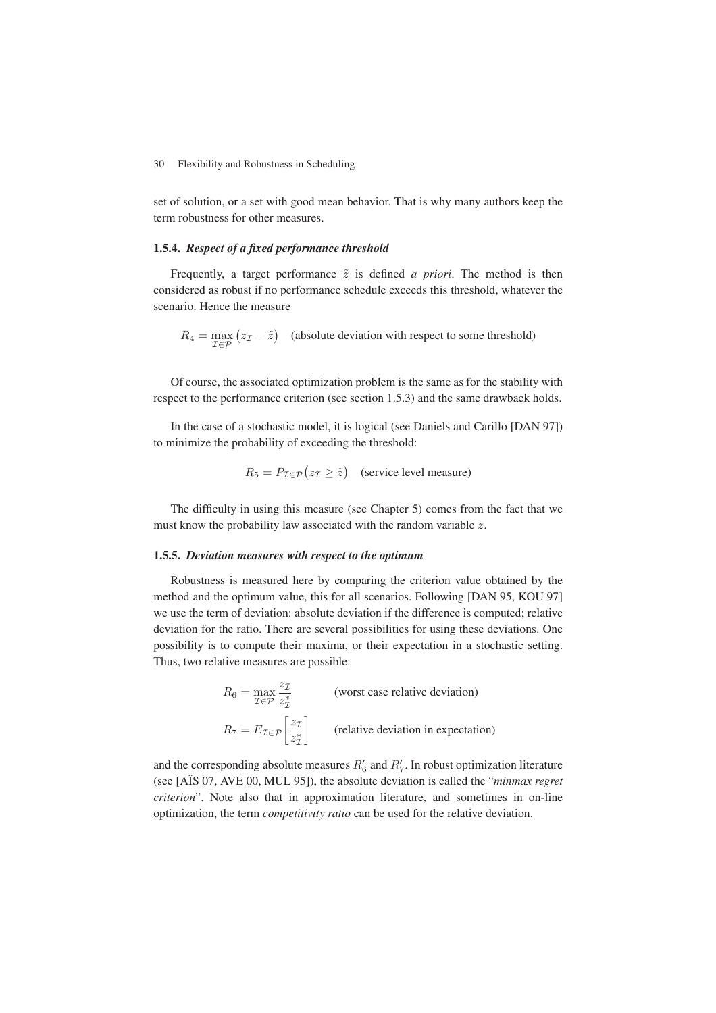set of solution, or a set with good mean behavior. That is why many authors keep the term robustness for other measures.

#### **1.5.4.** *Respect of a fixed performance threshold*

Frequently, a target performance  $\tilde{z}$  is defined *a priori*. The method is then considered as robust if no performance schedule exceeds this threshold, whatever the scenario. Hence the measure

 $R_4 = \max_{\mathcal{I} \in \mathcal{P}} (z_{\mathcal{I}} - \tilde{z})$  (absolute deviation with respect to some threshold)

Of course, the associated optimization problem is the same as for the stability with respect to the performance criterion (see section 1.5.3) and the same drawback holds.

In the case of a stochastic model, it is logical (see Daniels and Carillo [DAN 97]) to minimize the probability of exceeding the threshold:

$$
R_5 = P_{\mathcal{I} \in \mathcal{P}}(z_{\mathcal{I}} \ge \tilde{z})
$$
 (service level measure)

The difficulty in using this measure (see Chapter 5) comes from the fact that we must know the probability law associated with the random variable z.

#### **1.5.5.** *Deviation measures with respect to the optimum*

Robustness is measured here by comparing the criterion value obtained by the method and the optimum value, this for all scenarios. Following [DAN 95, KOU 97] we use the term of deviation: absolute deviation if the difference is computed; relative deviation for the ratio. There are several possibilities for using these deviations. One possibility is to compute their maxima, or their expectation in a stochastic setting. Thus, two relative measures are possible:

$$
R_6 = \max_{\mathcal{I} \in \mathcal{P}} \frac{z_{\mathcal{I}}}{z_{\mathcal{I}}^*}
$$
 (worst case relative deviation)  

$$
R_7 = E_{\mathcal{I} \in \mathcal{P}} \left[ \frac{z_{\mathcal{I}}}{z_{\mathcal{I}}^*} \right]
$$
 (relative deviation in expectation)

and the corresponding absolute measures  $R'_6$  and  $R'_7$ . In robust optimization literature (see [AÏS 07, AVE 00, MUL 95]), the absolute deviation is called the "*minmax regret criterion*". Note also that in approximation literature, and sometimes in on-line optimization, the term *competitivity ratio* can be used for the relative deviation.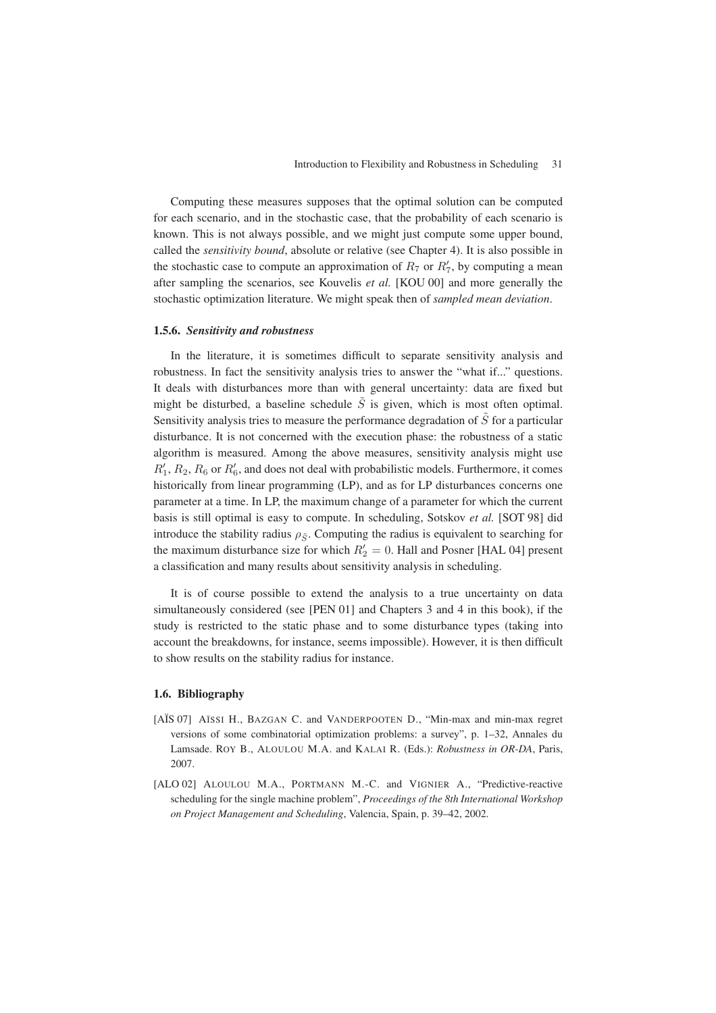Computing these measures supposes that the optimal solution can be computed for each scenario, and in the stochastic case, that the probability of each scenario is known. This is not always possible, and we might just compute some upper bound, called the *sensitivity bound*, absolute or relative (see Chapter 4). It is also possible in the stochastic case to compute an approximation of  $R_7$  or  $R'_7$ , by computing a mean after sampling the scenarios, see Kouvelis *et al.* [KOU 00] and more generally the stochastic optimization literature. We might speak then of *sampled mean deviation*.

#### **1.5.6.** *Sensitivity and robustness*

In the literature, it is sometimes difficult to separate sensitivity analysis and robustness. In fact the sensitivity analysis tries to answer the "what if..." questions. It deals with disturbances more than with general uncertainty: data are fixed but might be disturbed, a baseline schedule  $\tilde{S}$  is given, which is most often optimal. Sensitivity analysis tries to measure the performance degradation of  $\tilde{S}$  for a particular disturbance. It is not concerned with the execution phase: the robustness of a static algorithm is measured. Among the above measures, sensitivity analysis might use  $R'_1$ ,  $R_2$ ,  $R_6$  or  $R'_6$ , and does not deal with probabilistic models. Furthermore, it comes historically from linear programming (LP), and as for LP disturbances concerns one parameter at a time. In LP, the maximum change of a parameter for which the current basis is still optimal is easy to compute. In scheduling, Sotskov *et al.* [SOT 98] did introduce the stability radius  $\rho_{\tilde{S}}$ . Computing the radius is equivalent to searching for the maximum disturbance size for which  $R'_2 = 0$ . Hall and Posner [HAL 04] present a classification and many results about sensitivity analysis in scheduling.

It is of course possible to extend the analysis to a true uncertainty on data simultaneously considered (see [PEN 01] and Chapters 3 and 4 in this book), if the study is restricted to the static phase and to some disturbance types (taking into account the breakdowns, for instance, seems impossible). However, it is then difficult to show results on the stability radius for instance.

#### **1.6. Bibliography**

- [AÏS 07] AÏSSI H., BAZGAN C. and VANDERPOOTEN D., "Min-max and min-max regret versions of some combinatorial optimization problems: a survey", p. 1–32, Annales du Lamsade. ROY B., ALOULOU M.A. and KALAI R. (Eds.): *Robustness in OR-DA*, Paris, 2007.
- [ALO 02] ALOULOU M.A., PORTMANN M.-C. and VIGNIER A., "Predictive-reactive scheduling for the single machine problem", *Proceedings of the 8th International Workshop on Project Management and Scheduling*, Valencia, Spain, p. 39–42, 2002.